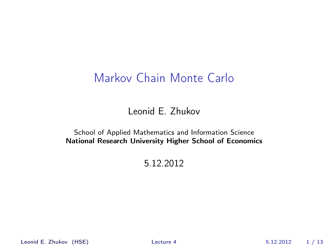# Markov Chain Monte Carlo

Leonid E. Zhukov

School of Applied Mathematics and Information Science National Research University Higher School of Economics

5.12.2012

Leonid E. Zhukov (HSE) [Lecture 4](#page-12-0) 5.12.2012 1 / 13

<span id="page-0-0"></span>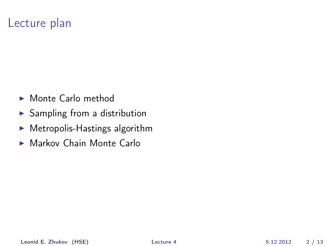# Lecture plan

- $\blacktriangleright$  Monte Carlo method
- $\blacktriangleright$  Sampling from a distribution
- $\blacktriangleright$  Metropolis-Hastings algorithm
- $\blacktriangleright$  Markov Chain Monte Carlo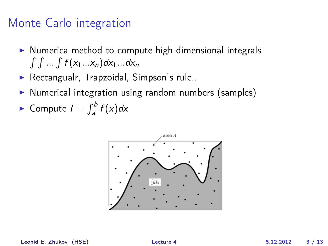## Monte Carlo integration

- $\triangleright$  Numerica method to compute high dimensional integrals  $\int \int ... \int f(x_1...x_n) dx_1...dx_n$
- $\blacktriangleright$  Rectangualr, Trapzoidal, Simpson's rule..
- $\triangleright$  Numerical integration using random numbers (samples)
- Compute  $I = \int_a^b f(x) dx$



Leonid E. Zhukov (HSE) [Lecture 4](#page-0-0) 5.12.2012 3 / 13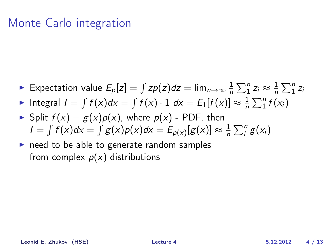## Monte Carlo integration

- ► Expectation value  $E_p[z] = \int zp(z)dz = \lim_{n\to\infty}\frac{1}{n}$  $\frac{1}{n}\sum_{1}^{n}z_{i}\approx\frac{1}{n}$  $\frac{1}{n}\sum_{1}^{n}z_{i}$
- ► Integral  $I = \int f(x)dx = \int f(x) \cdot 1 dx = E_1[f(x)] \approx \frac{1}{n}$  $\frac{1}{n}\sum_{i=1}^{n}f(x_i)$
- Split  $f(x) = g(x)p(x)$ , where  $p(x)$  PDF, then  $I = \int f(x)dx = \int g(x)p(x)dx = E_{p(x)}[g(x)] \approx \frac{1}{n}$  $\frac{1}{n}\sum_{i}^{n}g(x_{i})$
- $\triangleright$  need to be able to generate random samples from complex  $p(x)$  distributions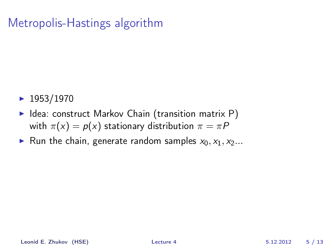# Metropolis-Hastings algorithm

- $\blacktriangleright$  1953/1970
- $\blacktriangleright$  Idea: construct Markov Chain (transition matrix P) with  $\pi(x) = p(x)$  stationary distribution  $\pi = \pi P$
- In Run the chain, generate random samples  $x_0, x_1, x_2...$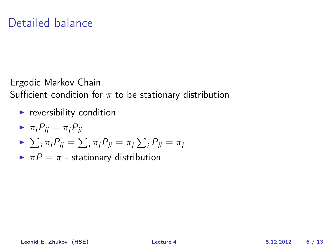## Detailed balance

Ergodic Markov Chain Sufficient condition for  $\pi$  to be stationary distribution

- $\blacktriangleright$  reversibility condition
- $\blacktriangleright \pi_i P_{ii} = \pi_i P_{ii}$
- $\blacktriangleright \sum_i \pi_i P_{ij} = \sum_i \pi_j P_{ji} = \pi_j \sum_i P_{ji} = \pi_j$
- $\blacktriangleright \pi P = \pi$  stationary distribution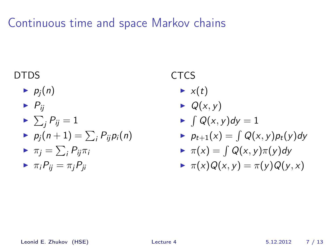# Continuous time and space Markov chains

#### DTDS

 $\blacktriangleright$   $p_i(n)$ 

$$
\blacktriangleright P_{ij}
$$

$$
\blacktriangleright \sum_j P_{ij} = 1
$$

 $\blacktriangleright$   $p_j(n+1) = \sum_i P_{ij} p_i(n)$ 

$$
\blacktriangleright \pi_j = \sum_i P_{ij} \pi_i
$$

$$
\blacktriangleright \ \pi_i P_{ij} = \pi_j P_{ji}
$$

#### **CTCS**

- $\blacktriangleright$  x(t)
- $\blacktriangleright$  Q(x, y)
- $\blacktriangleright$   $\int Q(x, y) dy = 1$
- $\blacktriangleright$   $p_{t+1}(x) = \int Q(x, y)p_t(y)dy$

$$
\blacktriangleright \pi(x) = \int Q(x, y) \pi(y) dy
$$

$$
\blacktriangleright \pi(x)Q(x,y)=\pi(y)Q(y,x)
$$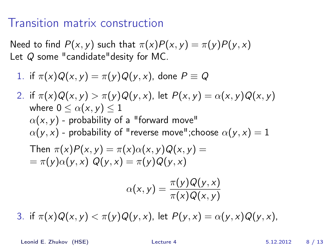#### Transition matrix construction

Need to find  $P(x, y)$  such that  $\pi(x)P(x, y) = \pi(y)P(y, x)$ Let Q some "candidate"desity for MC.

1. if 
$$
\pi(x)Q(x, y) = \pi(y)Q(y, x)
$$
, done  $P \equiv Q$ 

2. if 
$$
\pi(x)Q(x, y) > \pi(y)Q(y, x)
$$
, let  $P(x, y) = \alpha(x, y)Q(x, y)$   
\nwhere  $0 \le \alpha(x, y) \le 1$   
\n $\alpha(x, y)$  - probability of a "forward move"  
\n $\alpha(y, x)$  - probability of "reverse move";choose  $\alpha(y, x) = 1$   
\nThen  $\pi(x)P(x, y) = \pi(x)\alpha(x, y)Q(x, y) =$   
\n $= \pi(y)\alpha(y, x) Q(y, x) = \pi(y)Q(y, x)$   
\n $\alpha(x, y) = \frac{\pi(y)Q(y, x)}{\pi(x)Q(x, y)}$ 

3. if  $\pi(x)Q(x, y) < \pi(y)Q(y, x)$ , let  $P(y, x) = \alpha(y, x)Q(y, x)$ ,

Leonid E. Zhukov (HSE) [Lecture 4](#page-0-0) 5.12.2012 8 / 13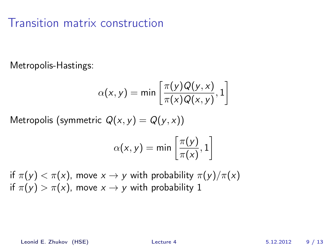## Transition matrix construction

Metropolis-Hastings:

$$
\alpha(x, y) = \min\left[\frac{\pi(y)Q(y, x)}{\pi(x)Q(x, y)}, 1\right]
$$

Metropolis (symmetric  $Q(x, y) = Q(y, x)$ )

$$
\alpha(x, y) = \min\left[\frac{\pi(y)}{\pi(x)}, 1\right]
$$

if  $\pi(y) < \pi(x)$ , move  $x \to y$  with probability  $\pi(y)/\pi(x)$ if  $\pi(y) > \pi(x)$ , move  $x \to y$  with probability 1

Leonid E. Zhukov (HSE) [Lecture 4](#page-0-0) 5.12.2012 9 / 13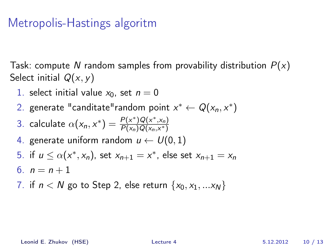## Metropolis-Hastings algoritm

Task: compute N random samples from provability distribution  $P(x)$ Select initial  $Q(x, y)$ 

- 1. select initial value  $x_0$ , set  $n = 0$
- 2. generate "canditate"random point  $x^* \leftarrow Q(x_n, x^*)$

3. calculate 
$$
\alpha(x_n, x^*) = \frac{P(x^*)Q(x^*,x_n)}{P(x_n)Q(x_n,x^*)}
$$

- 4. generate uniform random  $u \leftarrow U(0, 1)$
- 5. if  $u \leq \alpha(x^*, x_n)$ , set  $x_{n+1} = x^*$ , else set  $x_{n+1} = x_n$
- 6.  $n = n + 1$
- 7. if  $n < N$  go to Step 2, else return  $\{x_0, x_1, ... x_N\}$

Leonid E. Zhukov (HSE) [Lecture 4](#page-0-0) 5.12.2012 10 / 13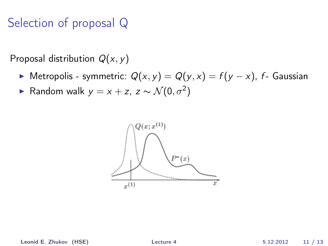# Selection of proposal Q

Proposal distribution  $Q(x, y)$ 

- $\triangleright$  Metropolis symmetric:  $Q(x, y) = Q(y, x) = f(y x)$ , f- Gaussian
- ► Random walk  $y = x + z$ ,  $z \sim \mathcal{N}(0, \sigma^2)$

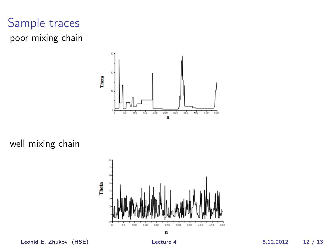# Sample traces poor mixing chain



well mixing chain



Leonid E. Zhukov (HSE) [Lecture 4](#page-0-0) 5.12.2012 12 / 13